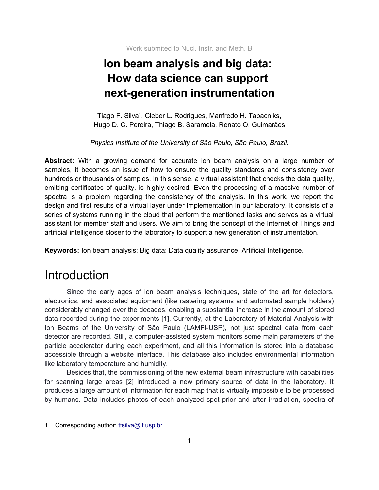# **Ion beam analysis and big data: How data science can support next-generation instrumentation**

Tiago F. Silva<sup>[1](#page-0-0)</sup>, Cleber L. Rodrigues, Manfredo H. Tabacniks, Hugo D. C. Pereira, Thiago B. Saramela, Renato O. Guimarães

*Physics Institute of the University of São Paulo, São Paulo, Brazil.*

**Abstract:** With a growing demand for accurate ion beam analysis on a large number of samples, it becomes an issue of how to ensure the quality standards and consistency over hundreds or thousands of samples. In this sense, a virtual assistant that checks the data quality, emitting certificates of quality, is highly desired. Even the processing of a massive number of spectra is a problem regarding the consistency of the analysis. In this work, we report the design and first results of a virtual layer under implementation in our laboratory. It consists of a series of systems running in the cloud that perform the mentioned tasks and serves as a virtual assistant for member staff and users. We aim to bring the concept of the Internet of Things and artificial intelligence closer to the laboratory to support a new generation of instrumentation.

**Keywords:** Ion beam analysis; Big data; Data quality assurance; Artificial Intelligence.

## **Introduction**

Since the early ages of ion beam analysis techniques, state of the art for detectors, electronics, and associated equipment (like rastering systems and automated sample holders) considerably changed over the decades, enabling a substantial increase in the amount of stored data recorded during the experiments [1]. Currently, at the Laboratory of Material Analysis with Ion Beams of the University of São Paulo (LAMFI-USP), not just spectral data from each detector are recorded. Still, a computer-assisted system monitors some main parameters of the particle accelerator during each experiment, and all this information is stored into a database accessible through a website interface. This database also includes environmental information like laboratory temperature and humidity.

Besides that, the commissioning of the new external beam infrastructure with capabilities for scanning large areas [2] introduced a new primary source of data in the laboratory. It produces a large amount of information for each map that is virtually impossible to be processed by humans. Data includes photos of each analyzed spot prior and after irradiation, spectra of

<span id="page-0-0"></span><sup>1</sup> Corresponding author: the silva@if.usp.br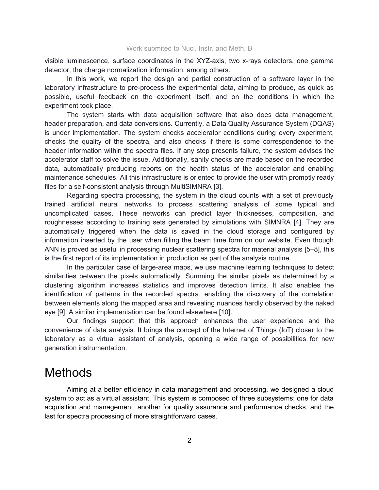visible luminescence, surface coordinates in the XYZ-axis, two x-rays detectors, one gamma detector, the charge normalization information, among others.

In this work, we report the design and partial construction of a software layer in the laboratory infrastructure to pre-process the experimental data, aiming to produce, as quick as possible, useful feedback on the experiment itself, and on the conditions in which the experiment took place.

The system starts with data acquisition software that also does data management, header preparation, and data conversions. Currently, a Data Quality Assurance System (DQAS) is under implementation. The system checks accelerator conditions during every experiment, checks the quality of the spectra, and also checks if there is some correspondence to the header information within the spectra files. If any step presents failure, the system advises the accelerator staff to solve the issue. Additionally, sanity checks are made based on the recorded data, automatically producing reports on the health status of the accelerator and enabling maintenance schedules. All this infrastructure is oriented to provide the user with promptly ready files for a self-consistent analysis through MultiSIMNRA [3].

Regarding spectra processing, the system in the cloud counts with a set of previously trained artificial neural networks to process scattering analysis of some typical and uncomplicated cases. These networks can predict layer thicknesses, composition, and roughnesses according to training sets generated by simulations with SIMNRA [4]. They are automatically triggered when the data is saved in the cloud storage and configured by information inserted by the user when filling the beam time form on our website. Even though ANN is proved as useful in processing nuclear scattering spectra for material analysis [5–8], this is the first report of its implementation in production as part of the analysis routine.

In the particular case of large-area maps, we use machine learning techniques to detect similarities between the pixels automatically. Summing the similar pixels as determined by a clustering algorithm increases statistics and improves detection limits. It also enables the identification of patterns in the recorded spectra, enabling the discovery of the correlation between elements along the mapped area and revealing nuances hardly observed by the naked eye [9]. A similar implementation can be found elsewhere [10].

Our findings support that this approach enhances the user experience and the convenience of data analysis. It brings the concept of the Internet of Things (IoT) closer to the laboratory as a virtual assistant of analysis, opening a wide range of possibilities for new generation instrumentation.

## **Methods**

Aiming at a better efficiency in data management and processing, we designed a cloud system to act as a virtual assistant. This system is composed of three subsystems: one for data acquisition and management, another for quality assurance and performance checks, and the last for spectra processing of more straightforward cases.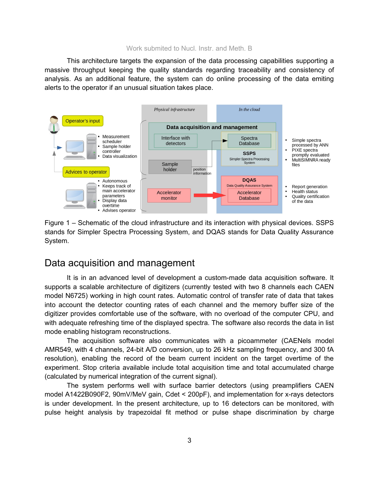This architecture targets the expansion of the data processing capabilities supporting a massive throughput keeping the quality standards regarding traceability and consistency of analysis. As an additional feature, the system can do online processing of the data emiting alerts to the operator if an unusual situation takes place.



Figure 1 – Schematic of the cloud infrastructure and its interaction with physical devices. SSPS stands for Simpler Spectra Processing System, and DQAS stands for Data Quality Assurance System.

### Data acquisition and management

It is in an advanced level of development a custom-made data acquisition software. It supports a scalable architecture of digitizers (currently tested with two 8 channels each CAEN model N6725) working in high count rates. Automatic control of transfer rate of data that takes into account the detector counting rates of each channel and the memory buffer size of the digitizer provides comfortable use of the software, with no overload of the computer CPU, and with adequate refreshing time of the displayed spectra. The software also records the data in list mode enabling histogram reconstructions.

The acquisition software also communicates with a picoammeter (CAENels model AMR549, with 4 channels, 24-bit A/D conversion, up to 26 kHz sampling frequency, and 300 fA resolution), enabling the record of the beam current incident on the target overtime of the experiment. Stop criteria available include total acquisition time and total accumulated charge (calculated by numerical integration of the current signal).

The system performs well with surface barrier detectors (using preamplifiers CAEN model A1422B090F2, 90mV/MeV gain, Cdet < 200pF), and implementation for x-rays detectors is under development. In the present architecture, up to 16 detectors can be monitored, with pulse height analysis by trapezoidal fit method or pulse shape discrimination by charge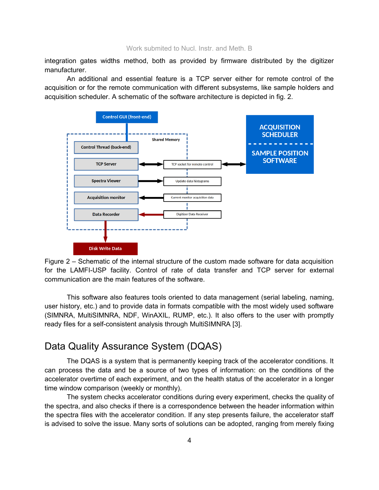integration gates widths method, both as provided by firmware distributed by the digitizer manufacturer.

An additional and essential feature is a TCP server either for remote control of the acquisition or for the remote communication with different subsystems, like sample holders and acquisition scheduler. A schematic of the software architecture is depicted in fig. 2.



Figure 2 – Schematic of the internal structure of the custom made software for data acquisition for the LAMFI-USP facility. Control of rate of data transfer and TCP server for external communication are the main features of the software.

This software also features tools oriented to data management (serial labeling, naming, user history, etc.) and to provide data in formats compatible with the most widely used software (SIMNRA, MultiSIMNRA, NDF, WinAXIL, RUMP, etc.). It also offers to the user with promptly ready files for a self-consistent analysis through MultiSIMNRA [3].

### Data Quality Assurance System (DQAS)

The DQAS is a system that is permanently keeping track of the accelerator conditions. It can process the data and be a source of two types of information: on the conditions of the accelerator overtime of each experiment, and on the health status of the accelerator in a longer time window comparison (weekly or monthly).

The system checks accelerator conditions during every experiment, checks the quality of the spectra, and also checks if there is a correspondence between the header information within the spectra files with the accelerator condition. If any step presents failure, the accelerator staff is advised to solve the issue. Many sorts of solutions can be adopted, ranging from merely fixing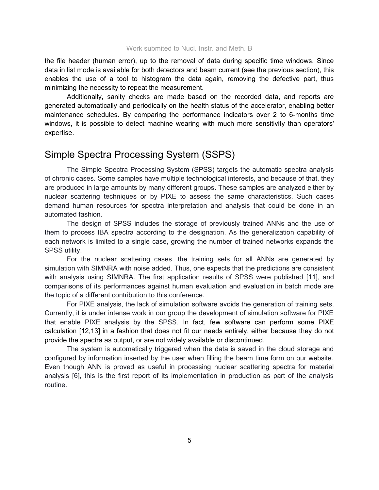the file header (human error), up to the removal of data during specific time windows. Since data in list mode is available for both detectors and beam current (see the previous section), this enables the use of a tool to histogram the data again, removing the defective part, thus minimizing the necessity to repeat the measurement.

Additionally, sanity checks are made based on the recorded data, and reports are generated automatically and periodically on the health status of the accelerator, enabling better maintenance schedules. By comparing the performance indicators over 2 to 6-months time windows, it is possible to detect machine wearing with much more sensitivity than operators' expertise.

### Simple Spectra Processing System (SSPS)

The Simple Spectra Processing System (SPSS) targets the automatic spectra analysis of chronic cases. Some samples have multiple technological interests, and because of that, they are produced in large amounts by many different groups. These samples are analyzed either by nuclear scattering techniques or by PIXE to assess the same characteristics. Such cases demand human resources for spectra interpretation and analysis that could be done in an automated fashion.

The design of SPSS includes the storage of previously trained ANNs and the use of them to process IBA spectra according to the designation. As the generalization capability of each network is limited to a single case, growing the number of trained networks expands the SPSS utility.

For the nuclear scattering cases, the training sets for all ANNs are generated by simulation with SIMNRA with noise added. Thus, one expects that the predictions are consistent with analysis using SIMNRA. The first application results of SPSS were published [11], and comparisons of its performances against human evaluation and evaluation in batch mode are the topic of a different contribution to this conference.

For PIXE analysis, the lack of simulation software avoids the generation of training sets. Currently, it is under intense work in our group the development of simulation software for PIXE that enable PIXE analysis by the SPSS. In fact, few software can perform some PIXE calculation [12,13] in a fashion that does not fit our needs entirely, either because they do not provide the spectra as output, or are not widely available or discontinued.

The system is automatically triggered when the data is saved in the cloud storage and configured by information inserted by the user when filling the beam time form on our website. Even though ANN is proved as useful in processing nuclear scattering spectra for material analysis [6], this is the first report of its implementation in production as part of the analysis routine.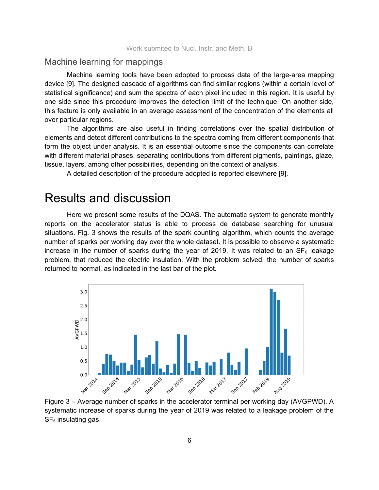### Machine learning for mappings

Machine learning tools have been adopted to process data of the large-area mapping device [9]. The designed cascade of algorithms can find similar regions (within a certain level of statistical significance) and sum the spectra of each pixel included in this region. It is useful by one side since this procedure improves the detection limit of the technique. On another side, this feature is only available in an average assessment of the concentration of the elements all over particular regions.

The algorithms are also useful in finding correlations over the spatial distribution of elements and detect different contributions to the spectra coming from different components that form the object under analysis. It is an essential outcome since the components can correlate with different material phases, separating contributions from different pigments, paintings, glaze, tissue, layers, among other possibilities, depending on the context of analysis.

A detailed description of the procedure adopted is reported elsewhere [9].

## Results and discussion

Here we present some results of the DQAS. The automatic system to generate monthly reports on the accelerator status is able to process de database searching for unusual situations. Fig. 3 shows the results of the spark counting algorithm, which counts the average number of sparks per working day over the whole dataset. It is possible to observe a systematic increase in the number of sparks during the year of 2019. It was related to an  $SF_6$  leakage problem, that reduced the electric insulation. With the problem solved, the number of sparks returned to normal, as indicated in the last bar of the plot.



Figure 3 – Average number of sparks in the accelerator terminal per working day (AVGPWD). A systematic increase of sparks during the year of 2019 was related to a leakage problem of the  $SF<sub>6</sub>$  insulating gas.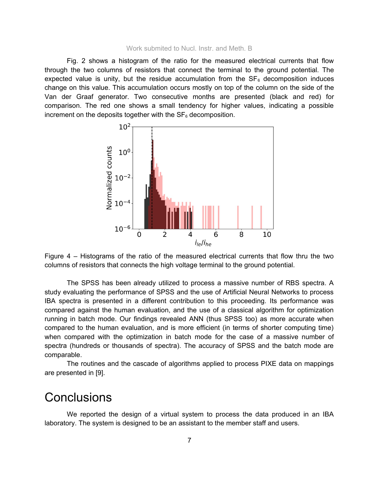Fig. 2 shows a histogram of the ratio for the measured electrical currents that flow through the two columns of resistors that connect the terminal to the ground potential. The expected value is unity, but the residue accumulation from the  $SF<sub>6</sub>$  decomposition induces change on this value. This accumulation occurs mostly on top of the column on the side of the Van der Graaf generator. Two consecutive months are presented (black and red) for comparison. The red one shows a small tendency for higher values, indicating a possible increment on the deposits together with the  $SF<sub>6</sub>$  decomposition.



Figure 4 – Histograms of the ratio of the measured electrical currents that flow thru the two columns of resistors that connects the high voltage terminal to the ground potential.

The SPSS has been already utilized to process a massive number of RBS spectra. A study evaluating the performance of SPSS and the use of Artificial Neural Networks to process IBA spectra is presented in a different contribution to this proceeding. Its performance was compared against the human evaluation, and the use of a classical algorithm for optimization running in batch mode. Our findings revealed ANN (thus SPSS too) as more accurate when compared to the human evaluation, and is more efficient (in terms of shorter computing time) when compared with the optimization in batch mode for the case of a massive number of spectra (hundreds or thousands of spectra). The accuracy of SPSS and the batch mode are comparable.

The routines and the cascade of algorithms applied to process PIXE data on mappings are presented in [9].

## **Conclusions**

We reported the design of a virtual system to process the data produced in an IBA laboratory. The system is designed to be an assistant to the member staff and users.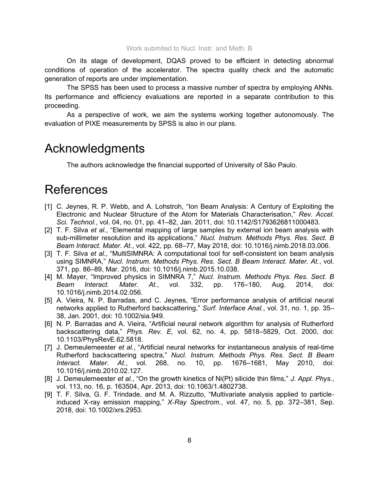On its stage of development, DQAS proved to be efficient in detecting abnormal conditions of operation of the accelerator. The spectra quality check and the automatic generation of reports are under implementation.

The SPSS has been used to process a massive number of spectra by employing ANNs. Its performance and efficiency evaluations are reported in a separate contribution to this proceeding.

As a perspective of work, we aim the systems working together autonomously. The evaluation of PIXE measurements by SPSS is also in our plans.

### Acknowledgments

The authors acknowledge the financial supported of University of São Paulo.

## References

- [1] C. Jeynes, R. P. Webb, and A. Lohstroh, "Ion Beam Analysis: A Century of Exploiting the Electronic and Nuclear Structure of the Atom for Materials Characterisation," *Rev. Accel. Sci. Technol.*, vol. 04, no. 01, pp. 41–82, Jan. 2011, doi: 10.1142/S1793626811000483.
- [2] T. F. Silva *et al.*, "Elemental mapping of large samples by external ion beam analysis with sub-millimeter resolution and its applications," *Nucl. Instrum. Methods Phys. Res. Sect. B Beam Interact. Mater. At.*, vol. 422, pp. 68–77, May 2018, doi: 10.1016/j.nimb.2018.03.006.
- [3] T. F. Silva *et al.*, "MultiSIMNRA: A computational tool for self-consistent ion beam analysis using SIMNRA," *Nucl. Instrum. Methods Phys. Res. Sect. B Beam Interact. Mater. At.*, vol. 371, pp. 86–89, Mar. 2016, doi: 10.1016/j.nimb.2015.10.038.
- [4] M. Mayer, "Improved physics in SIMNRA 7," *Nucl. Instrum. Methods Phys. Res. Sect. B Beam Interact. Mater. At.*, vol. 332, pp. 176–180, Aug. 2014, doi: 10.1016/j.nimb.2014.02.056.
- [5] A. Vieira, N. P. Barradas, and C. Jeynes, "Error performance analysis of artificial neural networks applied to Rutherford backscattering," *Surf. Interface Anal.*, vol. 31, no. 1, pp. 35– 38, Jan. 2001, doi: 10.1002/sia.949.
- [6] N. P. Barradas and A. Vieira, "Artificial neural network algorithm for analysis of Rutherford backscattering data," *Phys. Rev. E*, vol. 62, no. 4, pp. 5818–5829, Oct. 2000, doi: 10.1103/PhysRevE.62.5818.
- [7] J. Demeulemeester *et al.*, "Artificial neural networks for instantaneous analysis of real-time Rutherford backscattering spectra," *Nucl. Instrum. Methods Phys. Res. Sect. B Beam Interact. Mater. At.*, vol. 268, no. 10, pp. 1676–1681, May 2010, doi: 10.1016/j.nimb.2010.02.127.
- [8] J. Demeulemeester *et al.*, "On the growth kinetics of Ni(Pt) silicide thin films," *J. Appl. Phys.*, vol. 113, no. 16, p. 163504, Apr. 2013, doi: 10.1063/1.4802738.
- [9] T. F. Silva, G. F. Trindade, and M. A. Rizzutto, "Multivariate analysis applied to particle‐ induced X-ray emission mapping," X-Ray Spectrom., vol. 47, no. 5, pp. 372–381, Sep. 2018, doi: 10.1002/xrs.2953.